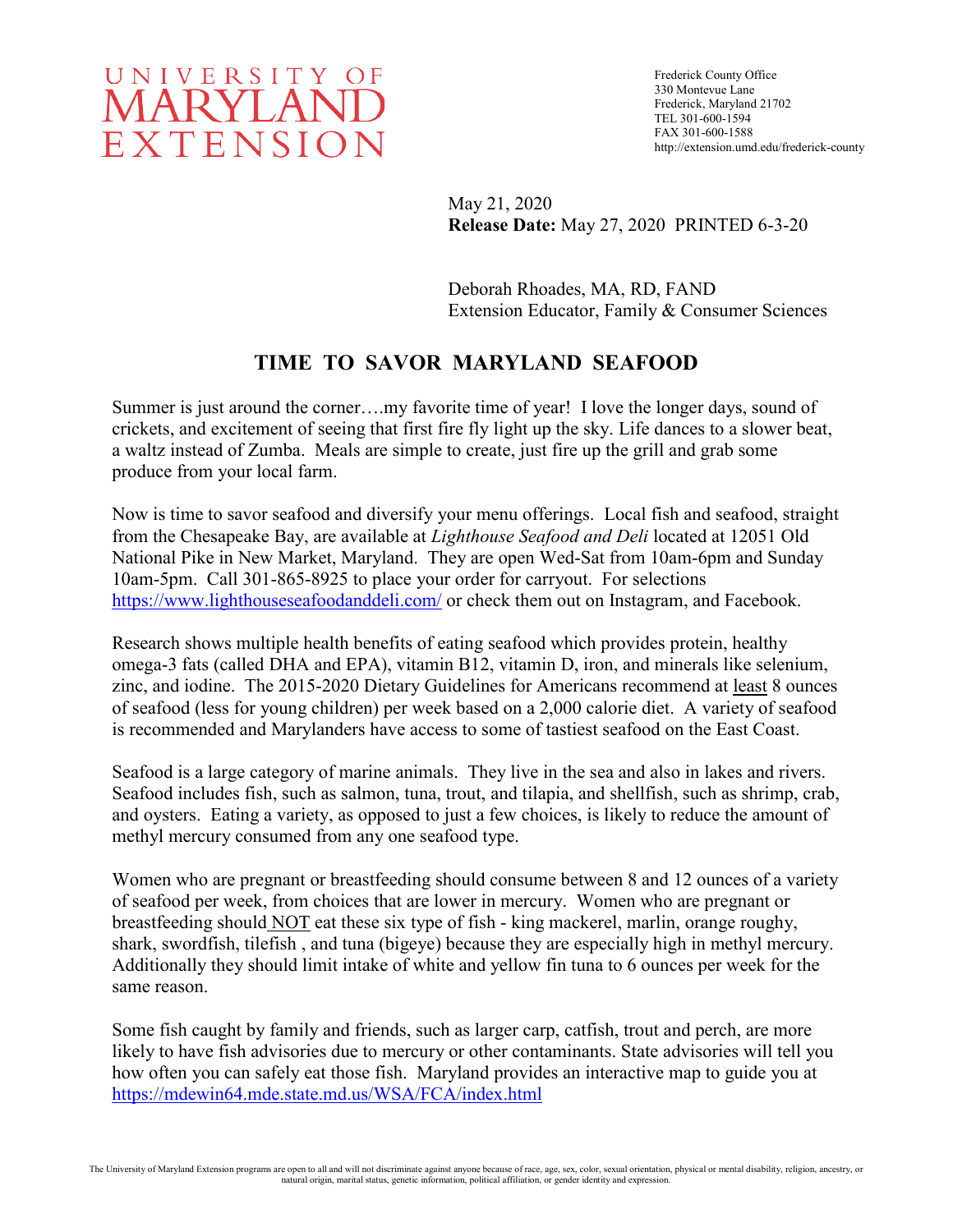

Frederick County Office 330 Montevue Lane Frederick, Maryland 21702 TEL 301-600-1594 FAX 301-600-1588 http://extension.umd.edu/frederick-county

May 21, 2020 **Release Date:** May 27, 2020 PRINTED 6-3-20

Deborah Rhoades, MA, RD, FAND Extension Educator, Family & Consumer Sciences

# **TIME TO SAVOR MARYLAND SEAFOOD**

Summer is just around the corner….my favorite time of year! I love the longer days, sound of crickets, and excitement of seeing that first fire fly light up the sky. Life dances to a slower beat, a waltz instead of Zumba. Meals are simple to create, just fire up the grill and grab some produce from your local farm.

Now is time to savor seafood and diversify your menu offerings. Local fish and seafood, straight from the Chesapeake Bay, are available at *Lighthouse Seafood and Deli* located at 12051 Old National Pike in New Market, Maryland. They are open Wed-Sat from 10am-6pm and Sunday 10am-5pm. Call 301-865-8925 to place your order for carryout. For selections <https://www.lighthouseseafoodanddeli.com/> or check them out on Instagram, and Facebook.

Research shows multiple health benefits of eating seafood which provides protein, healthy omega-3 fats (called DHA and EPA), vitamin B12, vitamin D, iron, and minerals like selenium, zinc, and iodine. The 2015-2020 Dietary Guidelines for Americans recommend at least 8 ounces of seafood (less for young children) per week based on a 2,000 calorie diet. A variety of seafood is recommended and Marylanders have access to some of tastiest seafood on the East Coast.

Seafood is a large category of marine animals. They live in the sea and also in lakes and rivers. Seafood includes fish, such as salmon, tuna, trout, and tilapia, and shellfish, such as shrimp, crab, and oysters. Eating a variety, as opposed to just a few choices, is likely to reduce the amount of methyl mercury consumed from any one seafood type.

Women who are pregnant or breastfeeding should consume between 8 and 12 ounces of a variety of seafood per week, from choices that are lower in mercury. Women who are pregnant or breastfeeding should NOT eat these six type of fish - king mackerel, marlin, orange roughy, shark, swordfish, tilefish , and tuna (bigeye) because they are especially high in methyl mercury. Additionally they should limit intake of white and yellow fin tuna to 6 ounces per week for the same reason.

Some fish caught by family and friends, such as larger carp, catfish, trout and perch, are more likely to have fish advisories due to mercury or other contaminants. State advisories will tell you how often you can safely eat those fish. Maryland provides an interactive map to guide you at <https://mdewin64.mde.state.md.us/WSA/FCA/index.html>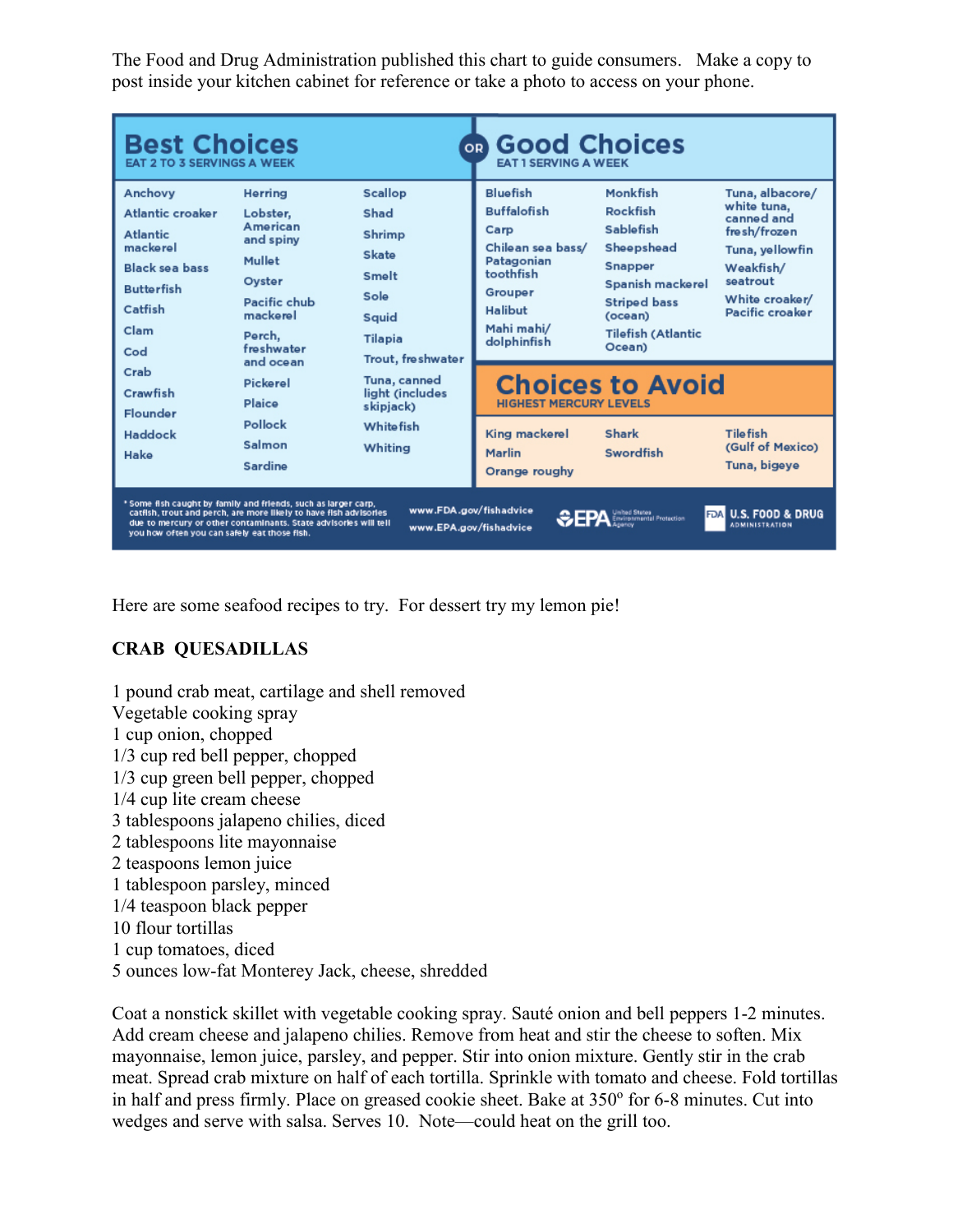The Food and Drug Administration published this chart to guide consumers. Make a copy to post inside your kitchen cabinet for reference or take a photo to access on your phone.

| <b>Best Choices</b><br><b>EAT 2 TO 3 SERVINGS A WEEK</b>                                                                                                                                                                                                                                                                                                                                                                       |                                                                                                                                   |                                                                                                            | <b>to Good Choices</b><br><b>EAT 1 SERVING A WEEK</b>                                                                                     |                                                                                                                                                                |                                                                                                                                               |
|--------------------------------------------------------------------------------------------------------------------------------------------------------------------------------------------------------------------------------------------------------------------------------------------------------------------------------------------------------------------------------------------------------------------------------|-----------------------------------------------------------------------------------------------------------------------------------|------------------------------------------------------------------------------------------------------------|-------------------------------------------------------------------------------------------------------------------------------------------|----------------------------------------------------------------------------------------------------------------------------------------------------------------|-----------------------------------------------------------------------------------------------------------------------------------------------|
| Anchovy<br>Atlantic croaker<br><b>Atlantic</b><br>mackerel<br><b>Black sea bass</b><br><b>Butterfish</b><br>Catfish<br>Clam<br>Cod                                                                                                                                                                                                                                                                                             | Herring<br>Lobster.<br>American<br>and spiny<br>Mullet<br>Oyster<br>Pacific chub<br>mackerel<br>Perch.<br>freshwater<br>and ocean | <b>Scallop</b><br>Shad<br>Shrimp<br>Skate<br>Smelt<br>Sole<br>Squid<br><b>Tilapia</b><br>Trout, freshwater | Bluefish<br><b>Buffalofish</b><br>Carp<br>Chilean sea bass/<br>Patagonian<br>toothfish<br>Grouper<br>Halibut<br>Mahi mahi/<br>dolphinfish | Monkfish<br>Rockfish<br>Sablefish<br>Sheepshead<br><b>Snapper</b><br>Spanish mackerel<br><b>Striped bass</b><br>(ocean)<br><b>Tilefish (Atlantic</b><br>Ocean) | Tuna, albacore/<br>white tuna,<br>canned and<br>fresh/frozen<br>Tuna, yellowfin<br>Weakfish/<br>seatrout<br>White croaker/<br>Pacific croaker |
| Crab<br>Crawfish                                                                                                                                                                                                                                                                                                                                                                                                               | Pickerel<br>Plaice                                                                                                                | Tuna, canned<br>light (includes<br>skipjack)                                                               | <b>Choices to Avoid</b><br><b>HIGHEST MERCURY LEVELS</b>                                                                                  |                                                                                                                                                                |                                                                                                                                               |
| Flounder<br>Haddock<br>Hake                                                                                                                                                                                                                                                                                                                                                                                                    | Pollock<br>Salmon<br>Sardine                                                                                                      | <b>Whitefish</b><br>Whiting                                                                                | King mackerel<br><b>Marlin</b><br>Orange roughy                                                                                           | <b>Shark</b><br>Swordfish                                                                                                                                      | <b>Tilefish</b><br>(Gulf of Mexico)<br>Tuna, bigeye                                                                                           |
| * Some fish caught by family and friends, such as larger carp,<br>www.FDA.gov/fishadvice<br>catfish, trout and perch, are more likely to have fish advisories<br><b>U.S. FOOD &amp; DRUG</b><br>United States<br>Environmental Protection<br><b>FDA</b><br>due to mercury or other contaminants. State advisories will tell<br><b>ADMINISTRATION</b><br>www.EPA.gov/fishadvice<br>you how often you can safely eat those fish. |                                                                                                                                   |                                                                                                            |                                                                                                                                           |                                                                                                                                                                |                                                                                                                                               |

Here are some seafood recipes to try. For dessert try my lemon pie!

## **CRAB QUESADILLAS**

1 pound crab meat, cartilage and shell removed Vegetable cooking spray 1 cup onion, chopped 1/3 cup red bell pepper, chopped 1/3 cup green bell pepper, chopped 1/4 cup lite cream cheese 3 tablespoons jalapeno chilies, diced 2 tablespoons lite mayonnaise 2 teaspoons lemon juice 1 tablespoon parsley, minced 1/4 teaspoon black pepper 10 flour tortillas 1 cup tomatoes, diced 5 ounces low-fat Monterey Jack, cheese, shredded

Coat a nonstick skillet with vegetable cooking spray. Sauté onion and bell peppers 1-2 minutes. Add cream cheese and jalapeno chilies. Remove from heat and stir the cheese to soften. Mix mayonnaise, lemon juice, parsley, and pepper. Stir into onion mixture. Gently stir in the crab meat. Spread crab mixture on half of each tortilla. Sprinkle with tomato and cheese. Fold tortillas in half and press firmly. Place on greased cookie sheet. Bake at  $350^{\circ}$  for 6-8 minutes. Cut into wedges and serve with salsa. Serves 10. Note—could heat on the grill too.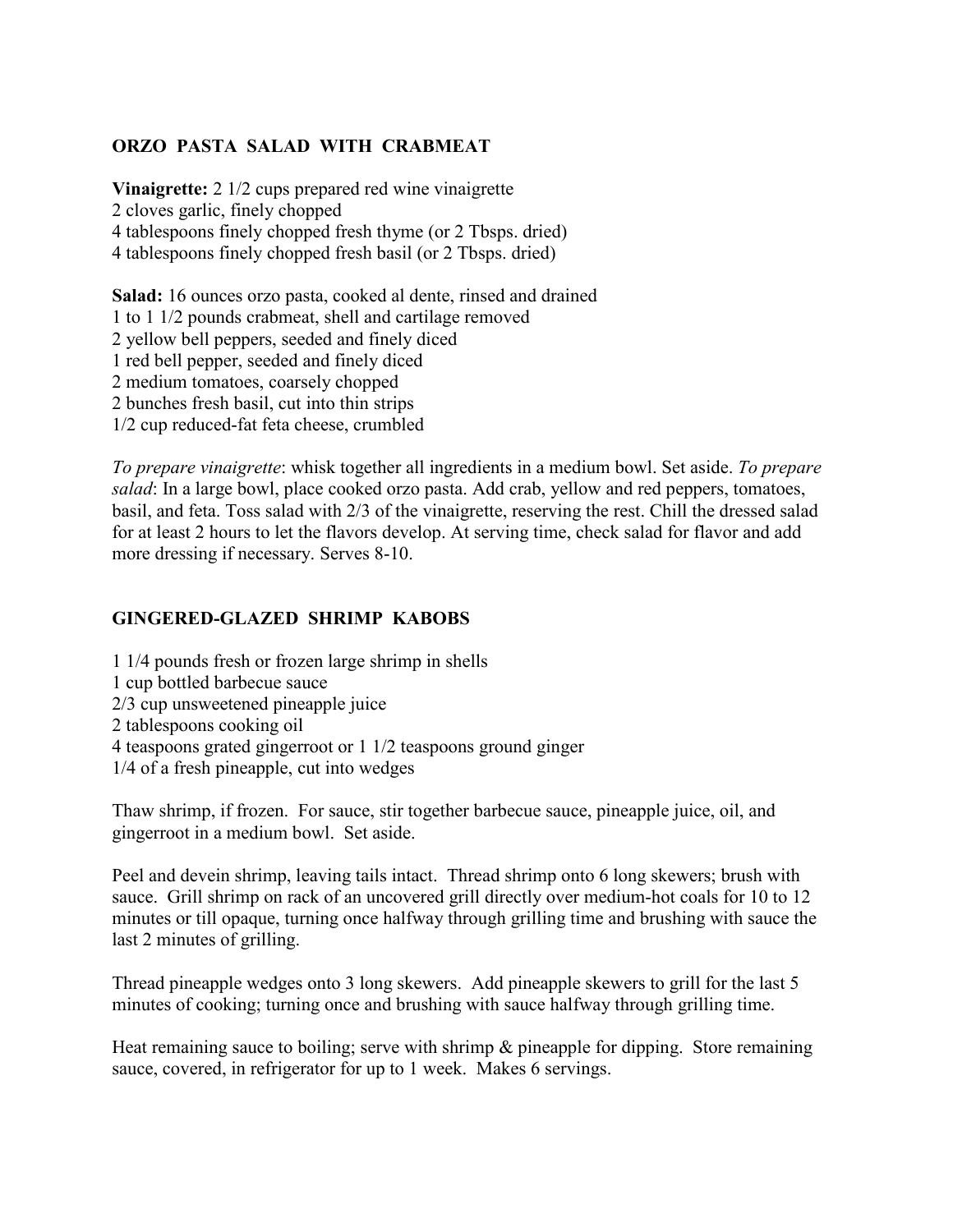### **ORZO PASTA SALAD WITH CRABMEAT**

**Vinaigrette:** 2 1/2 cups prepared red wine vinaigrette 2 cloves garlic, finely chopped 4 tablespoons finely chopped fresh thyme (or 2 Tbsps. dried) 4 tablespoons finely chopped fresh basil (or 2 Tbsps. dried)

**Salad:** 16 ounces orzo pasta, cooked al dente, rinsed and drained 1 to 1 1/2 pounds crabmeat, shell and cartilage removed 2 yellow bell peppers, seeded and finely diced 1 red bell pepper, seeded and finely diced 2 medium tomatoes, coarsely chopped 2 bunches fresh basil, cut into thin strips 1/2 cup reduced-fat feta cheese, crumbled

*To prepare vinaigrette*: whisk together all ingredients in a medium bowl. Set aside. *To prepare salad*: In a large bowl, place cooked orzo pasta. Add crab, yellow and red peppers, tomatoes, basil, and feta. Toss salad with 2/3 of the vinaigrette, reserving the rest. Chill the dressed salad for at least 2 hours to let the flavors develop. At serving time, check salad for flavor and add more dressing if necessary. Serves 8-10.

#### **GINGERED-GLAZED SHRIMP KABOBS**

1 1/4 pounds fresh or frozen large shrimp in shells 1 cup bottled barbecue sauce 2/3 cup unsweetened pineapple juice 2 tablespoons cooking oil 4 teaspoons grated gingerroot or 1 1/2 teaspoons ground ginger 1/4 of a fresh pineapple, cut into wedges

Thaw shrimp, if frozen. For sauce, stir together barbecue sauce, pineapple juice, oil, and gingerroot in a medium bowl. Set aside.

Peel and devein shrimp, leaving tails intact. Thread shrimp onto 6 long skewers; brush with sauce. Grill shrimp on rack of an uncovered grill directly over medium-hot coals for 10 to 12 minutes or till opaque, turning once halfway through grilling time and brushing with sauce the last 2 minutes of grilling.

Thread pineapple wedges onto 3 long skewers. Add pineapple skewers to grill for the last 5 minutes of cooking; turning once and brushing with sauce halfway through grilling time.

Heat remaining sauce to boiling; serve with shrimp  $\&$  pineapple for dipping. Store remaining sauce, covered, in refrigerator for up to 1 week. Makes 6 servings.